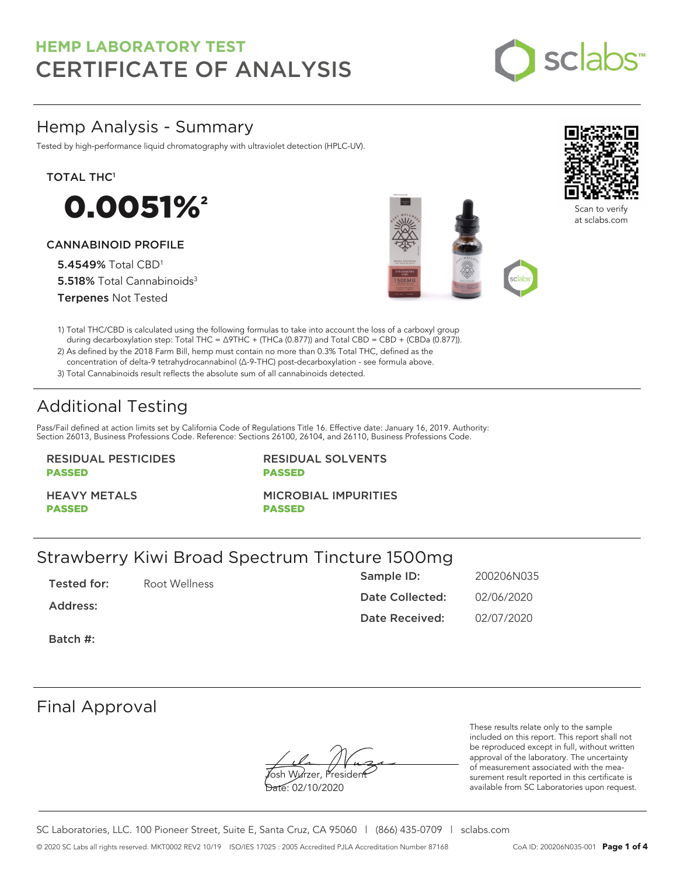

# Hemp Analysis - Summary

Tested by high-performance liquid chromatography with ultraviolet detection (HPLC-UV).

### TOTAL THC<sup>1</sup>



### CANNABINOID PROFILE

5.4549% Total CBD<sup>1</sup> 5.518% Total Cannabinoids<sup>3</sup> Terpenes Not Tested





Scan to verify at sclabs.com

1) Total THC/CBD is calculated using the following formulas to take into account the loss of a carboxyl group during decarboxylation step: Total THC = ∆9THC + (THCa (0.877)) and Total CBD = CBD + (CBDa (0.877)).

2) As defined by the 2018 Farm Bill, hemp must contain no more than 0.3% Total THC, defined as the concentration of delta-9 tetrahydrocannabinol (Δ-9-THC) post-decarboxylation - see formula above.

3) Total Cannabinoids result reflects the absolute sum of all cannabinoids detected.

# Additional Testing

Pass/Fail defined at action limits set by California Code of Regulations Title 16. Effective date: January 16, 2019. Authority: Section 26013, Business Professions Code. Reference: Sections 26100, 26104, and 26110, Business Professions Code.

### RESIDUAL PESTICIDES PASSED

RESIDUAL SOLVENTS PASSED

HEAVY METALS PASSED

MICROBIAL IMPURITIES

PASSED

# Strawberry Kiwi Broad Spectrum Tincture 1500mg

Tested for: Root Wellness Address: Batch #: Sample ID: 200206N035 Date Collected: 02/06/2020 Date Received: 02/07/2020

# Final Approval

**J**osh Wurzer, Presiden<del>t</del> Date: 02/10/2020

These results relate only to the sample included on this report. This report shall not be reproduced except in full, without written approval of the laboratory. The uncertainty of measurement associated with the measurement result reported in this certificate is available from SC Laboratories upon request.

SC Laboratories, LLC. 100 Pioneer Street, Suite E, Santa Cruz, CA 95060 | (866) 435-0709 | sclabs.com © 2020 SC Labs all rights reserved. MKT0002 REV2 10/19 ISO/IES 17025 : 2005 Accredited PJLA Accreditation Number 87168 CoA ID: 200206N035-001 **Page 1 of 4**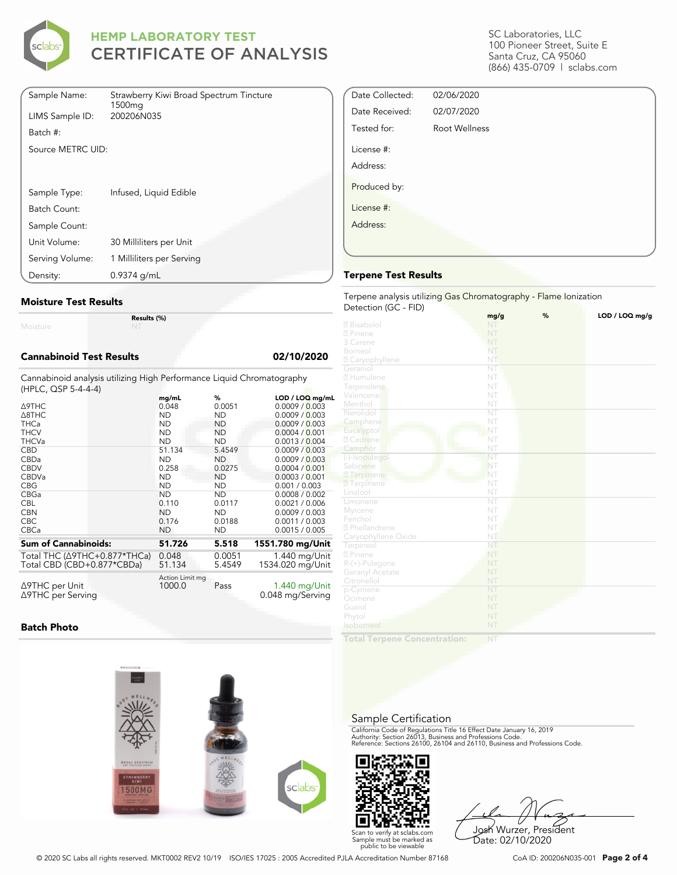

| Sample Name:      | Strawberry Kiwi Broad Spectrum Tincture<br>1500 <sub>mq</sub> |
|-------------------|---------------------------------------------------------------|
| LIMS Sample ID:   | 200206N035                                                    |
| Batch #:          |                                                               |
| Source METRC UID: |                                                               |
|                   |                                                               |
|                   |                                                               |
| Sample Type:      | Infused, Liquid Edible                                        |
| Batch Count:      |                                                               |
| Sample Count:     |                                                               |
| Unit Volume:      | 30 Milliliters per Unit                                       |
| Serving Volume:   | 1 Milliliters per Serving                                     |
| Density:          | $0.9374$ g/mL                                                 |

#### **Moisture Test Results**

Moisture

**Results (%)**

### **Cannabinoid Test Results 02/10/2020**

Cannabinoid analysis utilizing High Performance Liquid Chromatography (HPLC, QSP 5-4-4-4)

|                                      | mg/mL                     | %         | LOD / LOQ mg/mL                   |
|--------------------------------------|---------------------------|-----------|-----------------------------------|
| ∆9THC                                | 0.048                     | 0.0051    | 0.0009 / 0.003                    |
| $\triangle$ 8THC                     | <b>ND</b>                 | ND.       | 0.0009 / 0.003                    |
| <b>THCa</b>                          | <b>ND</b>                 | ND        | 0.0009 / 0.003                    |
| <b>THCV</b>                          | <b>ND</b>                 | <b>ND</b> | 0.0004 / 0.001                    |
| <b>THCVa</b>                         | <b>ND</b>                 | <b>ND</b> | 0.0013 / 0.004                    |
| <b>CBD</b>                           | 51.134                    | 5.4549    | 0.0009 / 0.003                    |
| <b>CBDa</b>                          | <b>ND</b>                 | ND.       | 0.0009 / 0.003                    |
| <b>CBDV</b>                          | 0.258                     | 0.0275    | 0.0004 / 0.001                    |
| <b>CBDVa</b>                         | <b>ND</b>                 | <b>ND</b> | 0.0003 / 0.001                    |
| <b>CBG</b>                           | ND                        | ND        | 0.001 / 0.003                     |
| CBGa                                 | <b>ND</b>                 | <b>ND</b> | 0.0008 / 0.002                    |
| <b>CBL</b>                           | 0.110                     | 0.0117    | 0.0021 / 0.006                    |
| <b>CBN</b>                           | <b>ND</b>                 | <b>ND</b> | 0.0009 / 0.003                    |
| <b>CBC</b>                           | 0.176                     | 0.0188    | 0.0011 / 0.003                    |
| <b>CBCa</b>                          | <b>ND</b>                 | ND.       | 0.0015 / 0.005                    |
| <b>Sum of Cannabinoids:</b>          | 51.726                    | 5.518     | 1551.780 mg/Unit                  |
| Total THC $(\Delta$ 9THC+0.877*THCa) | 0.048                     | 0.0051    | 1.440 mg/Unit                     |
| Total CBD (CBD+0.877*CBDa)           | 51.134                    | 5.4549    | 1534.020 mg/Unit                  |
| ∆9THC per Unit<br>∆9THC per Serving  | Action Limit mg<br>1000.0 | Pass      | 1.440 mg/Unit<br>0.048 mg/Serving |

#### **Batch Photo**



SC Laboratories, LLC 100 Pioneer Street, Suite E Santa Cruz, CA 95060 (866) 435-0709 | sclabs.com

| Date Collected: | 02/06/2020    |  |
|-----------------|---------------|--|
| Date Received:  | 02/07/2020    |  |
| Tested for:     | Root Wellness |  |
| License #:      |               |  |
| Address:        |               |  |
| Produced by:    |               |  |
| License #:      |               |  |
| Address:        |               |  |
|                 |               |  |

#### **Terpene Test Results**

#### Terpene analysis utilizing Gas Chromatography - Flame Ionization Detection (GC - FID)

|                     | mg/g                   | % | LOD / LOQ mg/g |
|---------------------|------------------------|---|----------------|
| 2 Bisabolol         | NT                     |   |                |
| 2 Pinene            | NT                     |   |                |
| 3 Carene            | NT                     |   |                |
| Borneol             | NT                     |   |                |
| 2 Caryophyllene     | NT                     |   |                |
| Geraniol            | NT                     |   |                |
| 2 Humulene          | NT                     |   |                |
|                     | NT                     |   |                |
| Terpinolene         |                        |   |                |
| Valencene           | NT                     |   |                |
| Menthol             | NT                     |   |                |
| Nerolidol           | NT                     |   |                |
| Camphene            | NT                     |   |                |
| Eucalyptol          | NT                     |   |                |
| 2 Cedrene           | NT                     |   |                |
| Camphor             | NT                     |   |                |
| (-)-Isopulegol      | NT                     |   |                |
| Sabinene            | NT                     |   |                |
| 2 Terpinene         | NT                     |   |                |
| <b>7</b> Terpinene  | NT                     |   |                |
| Linalool            | NT                     |   |                |
| Limonene            | $\overline{\text{NT}}$ |   |                |
| Myrcene             | NT                     |   |                |
| Fenchol             | NT                     |   |                |
| 2 Phellandrene      | NT                     |   |                |
| Caryophyllene Oxide | NT                     |   |                |
| Terpineol           | NT                     |   |                |
| 2 Pinene            | NT                     |   |                |
| R-(+)-Pulegone      | NT                     |   |                |
| Geranyl Acetate     | NT                     |   |                |
| Citronellol         | NT                     |   |                |
|                     | NT                     |   |                |
| p-Cymene            | NT                     |   |                |
| Ocimene             |                        |   |                |
| Guaiol              | NT                     |   |                |
| Phytol              | NT                     |   |                |
| Isoborneol          | NT                     |   |                |
|                     |                        |   |                |

**Total Terpene Concentration:**

#### Sample Certification

California Code of Regulations Title 16 Effect Date January 16, 2019<br>Authority: Section 26013, Business and Professions Code.<br>Reference: Sections 26100, 26104 and 26110, Business and Professions Code.



Josh Wurzer, President Date: 02/10/2020

© 2020 SC Labs all rights reserved. MKT0002 REV2 10/19 ISO/IES 17025 : 2005 Accredited PJLA Accreditation Number 87168 CoA ID: 200206N035-001 **Page 2 of 4**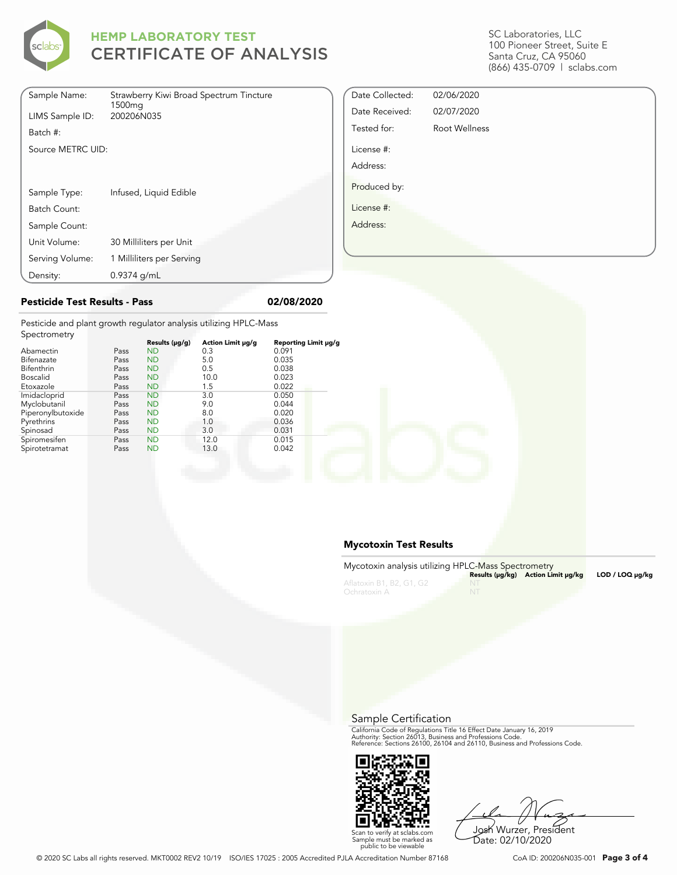

| Sample Name:      | Strawberry Kiwi Broad Spectrum Tincture<br>1500 <sub>mq</sub> |
|-------------------|---------------------------------------------------------------|
| LIMS Sample ID:   | 200206N035                                                    |
| Batch #:          |                                                               |
| Source METRC UID: |                                                               |
|                   |                                                               |
|                   |                                                               |
| Sample Type:      | Infused, Liquid Edible                                        |
| Batch Count:      |                                                               |
| Sample Count:     |                                                               |
| Unit Volume:      | 30 Milliliters per Unit                                       |
| Serving Volume:   | 1 Milliliters per Serving                                     |
| Density:          | $0.9374$ g/mL                                                 |

SC Laboratories, LLC 100 Pioneer Street, Suite E Santa Cruz, CA 95060 (866) 435-0709 | sclabs.com

| Date Collected: | 02/06/2020    |  |
|-----------------|---------------|--|
| Date Received:  | 02/07/2020    |  |
| Tested for:     | Root Wellness |  |
| License #:      |               |  |
| Address:        |               |  |
| Produced by:    |               |  |
| License #:      |               |  |
| Address:        |               |  |
|                 |               |  |
|                 |               |  |

### **Pesticide Test Results - Pass 02/08/2020**

Pesticide and plant growth regulator analysis utilizing HPLC-Mass Spectrometry

| SPOCHOTICH Y      |      |                |                   |                      |
|-------------------|------|----------------|-------------------|----------------------|
|                   |      | Results (µg/g) | Action Limit µg/g | Reporting Limit µg/g |
| Abamectin         | Pass | <b>ND</b>      | 0.3               | 0.091                |
| Bifenazate        | Pass | <b>ND</b>      | 5.0               | 0.035                |
| <b>Bifenthrin</b> | Pass | <b>ND</b>      | 0.5               | 0.038                |
| <b>Boscalid</b>   | Pass | <b>ND</b>      | 10.0              | 0.023                |
| Etoxazole         | Pass | <b>ND</b>      | 1.5               | 0.022                |
| Imidacloprid      | Pass | <b>ND</b>      | 3.0               | 0.050                |
| Myclobutanil      | Pass | <b>ND</b>      | 9.0               | 0.044                |
| Piperonylbutoxide | Pass | <b>ND</b>      | 8.0               | 0.020                |
| Pyrethrins        | Pass | <b>ND</b>      | 1.0               | 0.036                |
| Spinosad          | Pass | <b>ND</b>      | 3.0               | 0.031                |
| Spiromesifen      | Pass | <b>ND</b>      | 12.0              | 0.015                |
| Spirotetramat     | Pass | <b>ND</b>      | 13.0              | 0.042                |
|                   |      |                |                   |                      |

#### **Mycotoxin Test Results**

| Mycotoxin analysis utilizing HPLC-Mass Spectrometry |    | Results (µq/kq) Action Limit µq/kq | $LOD / LOQ \mu q/kg$ |
|-----------------------------------------------------|----|------------------------------------|----------------------|
| Aflatoxin B1, B2, G1, G2<br>Ochratoxin A            | NT |                                    |                      |

Sample Certification

California Code of Regulations Title 16 Effect Date January 16, 2019<br>Authority: Section 26013, Business and Professions Code.<br>Reference: Sections 26100, 26104 and 26110, Business and Professions Code.



Josh Wurzer, President

Date: 02/10/2020

Scan to verify at sclabs.com Sample must be marked as public to be viewable